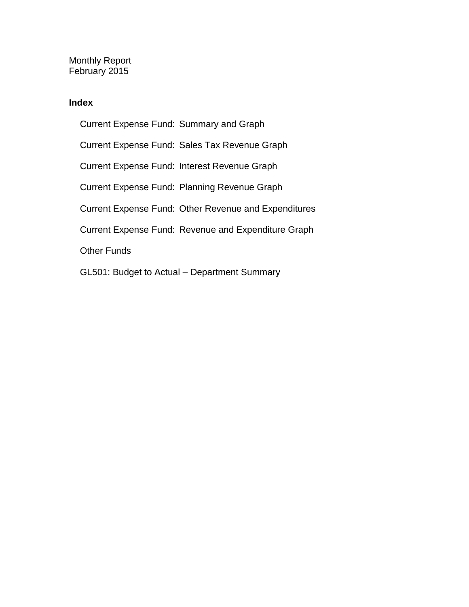Monthly Report February 2015

### **Index**

Current Expense Fund: Summary and Graph Current Expense Fund: Sales Tax Revenue Graph Current Expense Fund: Interest Revenue Graph Current Expense Fund: Planning Revenue Graph Current Expense Fund: Other Revenue and Expenditures Current Expense Fund: Revenue and Expenditure Graph Other Funds GL501: Budget to Actual – Department Summary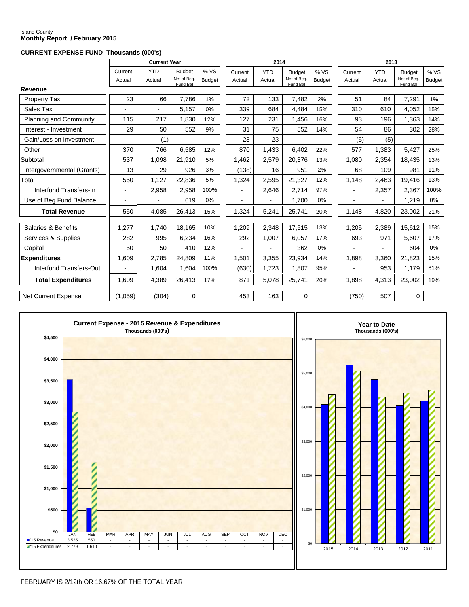#### Island County **Monthly Report / February 2015**

#### **CURRENT EXPENSE FUND Thousands (000's)**

|                               |                          | <b>Current Year</b>      |                                          |                       |                   | 2014                     |                                          |                       |                   | 2013                 |                                          |                       |
|-------------------------------|--------------------------|--------------------------|------------------------------------------|-----------------------|-------------------|--------------------------|------------------------------------------|-----------------------|-------------------|----------------------|------------------------------------------|-----------------------|
|                               | Current<br>Actual        | <b>YTD</b><br>Actual     | <b>Budget</b><br>Net of Beg.<br>Fund Bal | % VS<br><b>Budget</b> | Current<br>Actual | <b>YTD</b><br>Actual     | <b>Budget</b><br>Net of Beg.<br>Fund Bal | % VS<br><b>Budget</b> | Current<br>Actual | <b>YTD</b><br>Actual | <b>Budget</b><br>Net of Beg.<br>Fund Bal | % VS<br><b>Budget</b> |
| Revenue                       |                          |                          |                                          |                       |                   |                          |                                          |                       |                   |                      |                                          |                       |
| Property Tax                  | 23                       | 66                       | 7,786                                    | 1%                    | 72                | 133                      | 7,482                                    | 2%                    | 51                | 84                   | 7,291                                    | 1%                    |
| Sales Tax                     |                          | $\overline{\phantom{a}}$ | 5.157                                    | 0%                    | 339               | 684                      | 4.484                                    | 15%                   | 310               | 610                  | 4,052                                    | 15%                   |
| <b>Planning and Community</b> | 115                      | 217                      | 1,830                                    | 12%                   | 127               | 231                      | 1,456                                    | 16%                   | 93                | 196                  | 1,363                                    | 14%                   |
| Interest - Investment         | 29                       | 50                       | 552                                      | 9%                    | 31                | 75                       | 552                                      | 14%                   | 54                | 86                   | 302                                      | 28%                   |
| Gain/Loss on Investment       |                          | (1)                      |                                          |                       | 23                | 23                       |                                          |                       | (5)               | (5)                  |                                          |                       |
| Other                         | 370                      | 766                      | 6,585                                    | 12%                   | 870               | 1,433                    | 6,402                                    | 22%                   | 577               | 1,383                | 5,427                                    | 25%                   |
| Subtotal                      | 537                      | 1,098                    | 21,910                                   | 5%                    | 1,462             | 2,579                    | 20,376                                   | 13%                   | 1,080             | 2,354                | 18,435                                   | 13%                   |
| Intergovernmental (Grants)    | 13                       | 29                       | 926                                      | 3%                    | (138)             | 16                       | 951                                      | 2%                    | 68                | 109                  | 981                                      | 11%                   |
| Total                         | 550                      | 1,127                    | 22,836                                   | 5%                    | 1,324             | 2,595                    | 21,327                                   | 12%                   | 1,148             | 2.463                | 19,416                                   | 13%                   |
| Interfund Transfers-In        | $\overline{a}$           | 2,958                    | 2,958                                    | 100%                  | $\overline{a}$    | 2,646                    | 2,714                                    | 97%                   |                   | 2,357                | 2,367                                    | 100%                  |
| Use of Beg Fund Balance       | $\overline{\phantom{a}}$ | $\blacksquare$           | 619                                      | 0%                    | $\overline{a}$    | $\overline{\phantom{0}}$ | 1.700                                    | $0\%$                 |                   | $\sim$               | 1.219                                    | 0%                    |
| <b>Total Revenue</b>          | 550                      | 4,085                    | 26,413                                   | 15%                   | 1,324             | 5,241                    | 25,741                                   | 20%                   | 1,148             | 4,820                | 23,002                                   | 21%                   |
| Salaries & Benefits           | 1,277                    | 1.740                    | 18,165                                   | 10%                   | 1,209             | 2,348                    | 17,515                                   | 13%                   | 1,205             | 2,389                | 15,612                                   | 15%                   |
| Services & Supplies           | 282                      | 995                      | 6,234                                    | 16%                   | 292               | 1,007                    | 6,057                                    | 17%                   | 693               | 971                  | 5,607                                    | 17%                   |
| Capital                       | 50                       | 50                       | 410                                      | 12%                   |                   |                          | 362                                      | 0%                    |                   |                      | 604                                      | 0%                    |
| <b>Expenditures</b>           | 1,609                    | 2.785                    | 24,809                                   | 11%                   | 1,501             | 3.355                    | 23,934                                   | 14%                   | 1,898             | 3.360                | 21,823                                   | 15%                   |
| Interfund Transfers-Out       |                          | 1,604                    | 1,604                                    | 100%                  | (630)             | 1,723                    | 1,807                                    | 95%                   |                   | 953                  | 1,179                                    | 81%                   |
| <b>Total Expenditures</b>     | 1.609                    | 4,389                    | 26,413                                   | 17%                   | 871               | 5.078                    | 25,741                                   | 20%                   | 1.898             | 4,313                | 23,002                                   | 19%                   |
| <b>Net Current Expense</b>    | (1.059)                  | (304)                    | $\Omega$                                 |                       | 453               | 163                      | $\Omega$                                 |                       | (750)             | 507                  | $\Omega$                                 |                       |

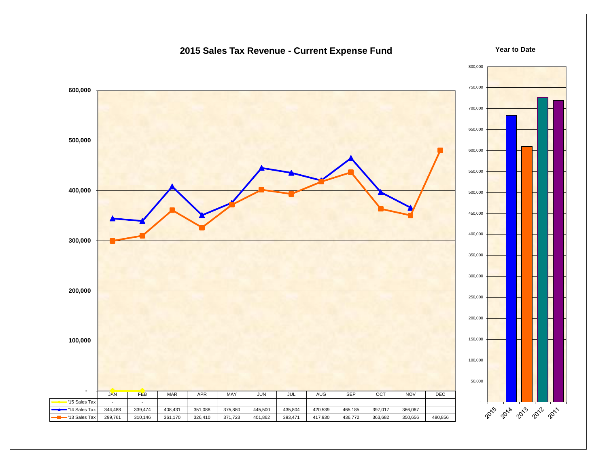

## **2015 Sales Tax Revenue - Current Expense Fund**

**Year to Date**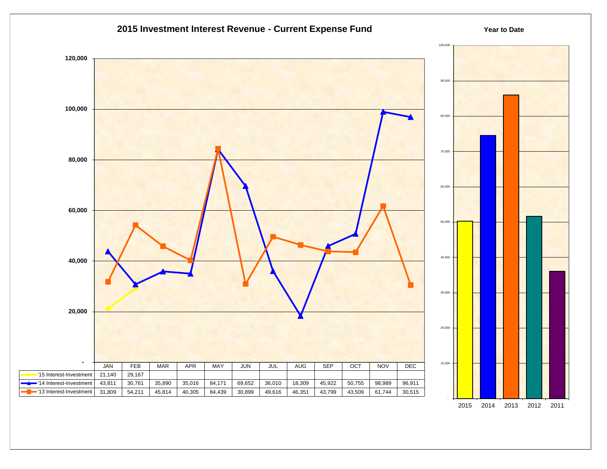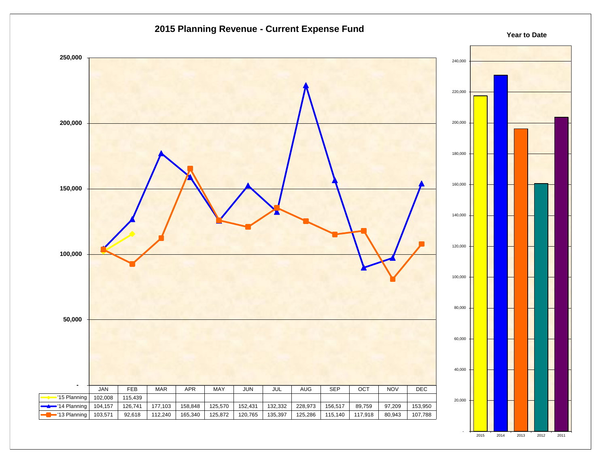

2015 2014 2013 2012 2011

#### **2015 Planning Revenue - Current Expense Fund**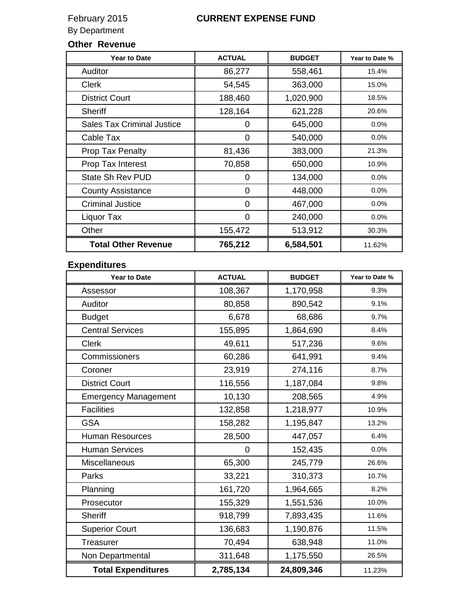## **Other Revenue**

| <b>Year to Date</b>               | <b>ACTUAL</b> | <b>BUDGET</b> | Year to Date % |
|-----------------------------------|---------------|---------------|----------------|
| Auditor                           | 86,277        | 558,461       | 15.4%          |
| <b>Clerk</b>                      | 54,545        | 363,000       | 15.0%          |
| <b>District Court</b>             | 188,460       | 1,020,900     | 18.5%          |
| Sheriff                           | 128,164       | 621,228       | 20.6%          |
| <b>Sales Tax Criminal Justice</b> | 0             | 645,000       | 0.0%           |
| Cable Tax                         | 0             | 540,000       | 0.0%           |
| Prop Tax Penalty                  | 81,436        | 383,000       | 21.3%          |
| Prop Tax Interest                 | 70,858        | 650,000       | 10.9%          |
| State Sh Rev PUD                  | 0             | 134,000       | 0.0%           |
| <b>County Assistance</b>          | 0             | 448,000       | 0.0%           |
| <b>Criminal Justice</b>           | 0             | 467,000       | 0.0%           |
| Liquor Tax                        | 0             | 240,000       | $0.0\%$        |
| Other                             | 155,472       | 513,912       | 30.3%          |
| <b>Total Other Revenue</b>        | 765,212       | 6,584,501     | 11.62%         |

## **Expenditures**

| <b>Year to Date</b>         | <b>ACTUAL</b>  | <b>BUDGET</b> | Year to Date % |
|-----------------------------|----------------|---------------|----------------|
| Assessor                    | 108,367        | 1,170,958     | 9.3%           |
| Auditor                     | 80,858         | 890,542       | 9.1%           |
| <b>Budget</b>               | 6,678          | 68,686        | 9.7%           |
| <b>Central Services</b>     | 155,895        | 1,864,690     | 8.4%           |
| <b>Clerk</b>                | 49,611         | 517,236       | 9.6%           |
| Commissioners               | 60,286         | 641,991       | 9.4%           |
| Coroner                     | 23,919         | 274,116       | 8.7%           |
| <b>District Court</b>       | 116,556        | 1,187,084     | 9.8%           |
| <b>Emergency Management</b> | 10,130         | 208,565       | 4.9%           |
| <b>Facilities</b>           | 132,858        | 1,218,977     | 10.9%          |
| <b>GSA</b>                  | 158,282        | 1,195,847     | 13.2%          |
| <b>Human Resources</b>      | 28,500         | 447,057       | 6.4%           |
| <b>Human Services</b>       | $\overline{0}$ | 152,435       | 0.0%           |
| Miscellaneous               | 65,300         | 245,779       | 26.6%          |
| Parks                       | 33,221         | 310,373       | 10.7%          |
| Planning                    | 161,720        | 1,964,665     | 8.2%           |
| Prosecutor                  | 155,329        | 1,551,536     | 10.0%          |
| <b>Sheriff</b>              | 918,799        | 7,893,435     | 11.6%          |
| <b>Superior Court</b>       | 136,683        | 1,190,876     | 11.5%          |
| Treasurer                   | 70,494         | 638,948       | 11.0%          |
| Non Departmental            | 311,648        | 1,175,550     | 26.5%          |
| <b>Total Expenditures</b>   | 2,785,134      | 24,809,346    | 11.23%         |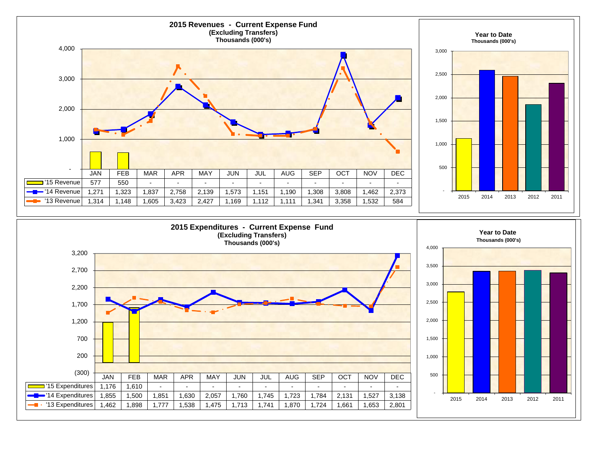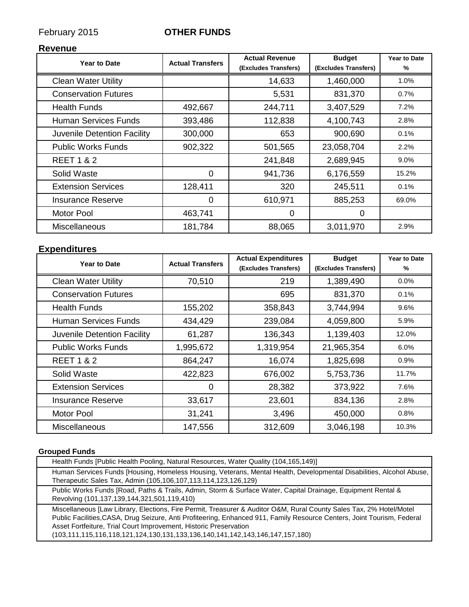## February 2015 **OTHER FUNDS**

## **Revenue**

| <b>Year to Date</b>         | <b>Actual Transfers</b> | <b>Actual Revenue</b><br>(Excludes Transfers) | <b>Budget</b><br>(Excludes Transfers) | <b>Year to Date</b><br>% |
|-----------------------------|-------------------------|-----------------------------------------------|---------------------------------------|--------------------------|
|                             |                         |                                               |                                       |                          |
| <b>Clean Water Utility</b>  |                         | 14,633                                        | 1,460,000                             | 1.0%                     |
| <b>Conservation Futures</b> |                         | 5,531                                         | 831,370                               | 0.7%                     |
| <b>Health Funds</b>         | 492,667                 | 244,711                                       | 3,407,529                             | 7.2%                     |
| Human Services Funds        | 393,486                 | 112,838                                       | 4,100,743                             | 2.8%                     |
| Juvenile Detention Facility | 300,000                 | 653                                           | 900,690                               | 0.1%                     |
| <b>Public Works Funds</b>   | 902,322                 | 501,565                                       | 23,058,704                            | 2.2%                     |
| <b>REET 1 &amp; 2</b>       |                         | 241,848                                       | 2,689,945                             | 9.0%                     |
| Solid Waste                 | 0                       | 941,736                                       | 6,176,559                             | 15.2%                    |
| <b>Extension Services</b>   | 128,411                 | 320                                           | 245,511                               | 0.1%                     |
| <b>Insurance Reserve</b>    | $\Omega$                | 610,971                                       | 885,253                               | 69.0%                    |
| <b>Motor Pool</b>           | 463,741                 | 0                                             | 0                                     |                          |
| Miscellaneous               | 181,784                 | 88,065                                        | 3,011,970                             | 2.9%                     |

## **Expenditures**

| <b>Year to Date</b>         | <b>Actual Transfers</b> | <b>Actual Expenditures</b> | <b>Budget</b>        | <b>Year to Date</b> |
|-----------------------------|-------------------------|----------------------------|----------------------|---------------------|
|                             |                         | (Excludes Transfers)       | (Excludes Transfers) | %                   |
| <b>Clean Water Utility</b>  | 70,510                  | 219                        | 1,389,490            | 0.0%                |
| <b>Conservation Futures</b> |                         | 695                        | 831,370              | 0.1%                |
| <b>Health Funds</b>         | 155,202                 | 358,843                    | 3,744,994            | 9.6%                |
| Human Services Funds        | 434,429                 | 239,084                    | 4,059,800            | 5.9%                |
| Juvenile Detention Facility | 61,287                  | 136,343                    | 1,139,403            | 12.0%               |
| <b>Public Works Funds</b>   | 1,995,672               | 1,319,954                  | 21,965,354           | 6.0%                |
| <b>REET 1 &amp; 2</b>       | 864,247                 | 16,074                     | 1,825,698            | 0.9%                |
| Solid Waste                 | 422,823                 | 676,002                    | 5,753,736            | 11.7%               |
| <b>Extension Services</b>   | 0                       | 28,382                     | 373,922              | 7.6%                |
| <b>Insurance Reserve</b>    | 33,617                  | 23,601                     | 834,136              | 2.8%                |
| <b>Motor Pool</b>           | 31,241                  | 3,496                      | 450,000              | 0.8%                |
| Miscellaneous               | 147,556                 | 312,609                    | 3,046,198            | 10.3%               |

## **Grouped Funds**

| Health Funds [Public Health Pooling, Natural Resources, Water Quality (104,165,149)]                                                                                                                                                                                                                                                                                                                                     |
|--------------------------------------------------------------------------------------------------------------------------------------------------------------------------------------------------------------------------------------------------------------------------------------------------------------------------------------------------------------------------------------------------------------------------|
| Human Services Funds [Housing, Homeless Housing, Veterans, Mental Health, Developmental Disabilities, Alcohol Abuse,<br>Therapeutic Sales Tax, Admin (105,106,107,113,114,123,126,129)                                                                                                                                                                                                                                   |
| Public Works Funds [Road, Paths & Trails, Admin, Storm & Surface Water, Capital Drainage, Equipment Rental &<br>Revolving (101,137,139,144,321,501,119,410)                                                                                                                                                                                                                                                              |
| Miscellaneous [Law Library, Elections, Fire Permit, Treasurer & Auditor O&M, Rural County Sales Tax, 2% Hotel/Motel<br>Public Facilities, CASA, Drug Seizure, Anti Profiteering, Enhanced 911, Family Resource Centers, Joint Tourism, Federal<br>Asset Fortfeiture, Trial Court Improvement, Historic Preservation<br>$(103, 111, 115, 116, 118, 121, 124, 130, 131, 133, 136, 140, 141, 142, 143, 146, 147, 157, 180)$ |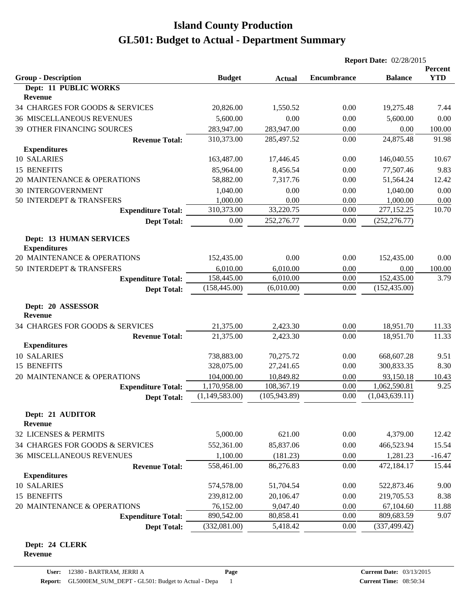|                                                       |                |               | <b>Report Date: 02/28/2015</b> |                |                       |
|-------------------------------------------------------|----------------|---------------|--------------------------------|----------------|-----------------------|
| <b>Group - Description</b>                            | <b>Budget</b>  | <b>Actual</b> | <b>Encumbrance</b>             | <b>Balance</b> | Percent<br><b>YTD</b> |
| Dept: 11 PUBLIC WORKS                                 |                |               |                                |                |                       |
| <b>Revenue</b>                                        |                |               |                                |                |                       |
| 34 CHARGES FOR GOODS & SERVICES                       | 20,826.00      | 1,550.52      | 0.00                           | 19,275.48      | 7.44                  |
| <b>36 MISCELLANEOUS REVENUES</b>                      | 5,600.00       | 0.00          | 0.00                           | 5,600.00       | 0.00                  |
| 39 OTHER FINANCING SOURCES                            | 283,947.00     | 283,947.00    | 0.00                           | 0.00           | 100.00                |
| <b>Revenue Total:</b>                                 | 310,373.00     | 285,497.52    | 0.00                           | 24,875.48      | 91.98                 |
| <b>Expenditures</b>                                   |                |               |                                |                |                       |
| 10 SALARIES                                           | 163,487.00     | 17,446.45     | 0.00                           | 146,040.55     | 10.67                 |
| 15 BENEFITS                                           | 85,964.00      | 8,456.54      | 0.00                           | 77,507.46      | 9.83                  |
| 20 MAINTENANCE & OPERATIONS                           | 58,882.00      | 7,317.76      | 0.00                           | 51,564.24      | 12.42                 |
| <b>30 INTERGOVERNMENT</b>                             | 1,040.00       | 0.00          | 0.00                           | 1,040.00       | 0.00                  |
| 50 INTERDEPT & TRANSFERS                              | 1,000.00       | 0.00          | 0.00                           | 1,000.00       | 0.00                  |
| <b>Expenditure Total:</b>                             | 310,373.00     | 33,220.75     | 0.00                           | 277,152.25     | 10.70                 |
| <b>Dept Total:</b>                                    | 0.00           | 252,276.77    | 0.00                           | (252, 276.77)  |                       |
| <b>Dept: 13 HUMAN SERVICES</b><br><b>Expenditures</b> |                |               |                                |                |                       |
| 20 MAINTENANCE & OPERATIONS                           | 152,435.00     | 0.00          | 0.00                           | 152,435.00     | 0.00                  |
| 50 INTERDEPT & TRANSFERS                              | 6,010.00       | 6,010.00      | 0.00                           | 0.00           | 100.00                |
| <b>Expenditure Total:</b>                             | 158,445.00     | 6,010.00      | 0.00                           | 152,435.00     | 3.79                  |
| <b>Dept Total:</b>                                    | (158, 445.00)  | (6,010.00)    | 0.00                           | (152, 435.00)  |                       |
| Dept: 20 ASSESSOR<br><b>Revenue</b>                   |                |               |                                |                |                       |
| 34 CHARGES FOR GOODS & SERVICES                       | 21,375.00      | 2,423.30      | 0.00                           | 18,951.70      | 11.33                 |
| <b>Revenue Total:</b>                                 | 21,375.00      | 2,423.30      | 0.00                           | 18,951.70      | 11.33                 |
| <b>Expenditures</b>                                   |                |               |                                |                |                       |
| 10 SALARIES                                           | 738,883.00     | 70,275.72     | 0.00                           | 668,607.28     | 9.51                  |
| 15 BENEFITS                                           | 328,075.00     | 27,241.65     | 0.00                           | 300,833.35     | 8.30                  |
| 20 MAINTENANCE & OPERATIONS                           | 104,000.00     | 10,849.82     | 0.00                           | 93,150.18      | 10.43                 |
| <b>Expenditure Total:</b>                             | 1,170,958.00   | 108,367.19    | 0.00                           | 1,062,590.81   | 9.25                  |
| <b>Dept Total:</b>                                    | (1,149,583.00) | (105, 943.89) | 0.00                           | (1,043,639.11) |                       |
| Dept: 21 AUDITOR<br><b>Revenue</b>                    |                |               |                                |                |                       |
| 32 LICENSES & PERMITS                                 | 5,000.00       | 621.00        | 0.00                           | 4,379.00       | 12.42                 |
| 34 CHARGES FOR GOODS & SERVICES                       | 552,361.00     | 85,837.06     | 0.00                           | 466,523.94     | 15.54                 |
| <b>36 MISCELLANEOUS REVENUES</b>                      | 1,100.00       | (181.23)      | 0.00                           | 1,281.23       | $-16.47$              |
| <b>Revenue Total:</b>                                 | 558,461.00     | 86,276.83     | 0.00                           | 472,184.17     | 15.44                 |
| <b>Expenditures</b>                                   |                |               |                                |                |                       |
| 10 SALARIES                                           | 574,578.00     | 51,704.54     | 0.00                           | 522,873.46     | 9.00                  |
| 15 BENEFITS                                           | 239,812.00     | 20,106.47     | 0.00                           | 219,705.53     | 8.38                  |
| 20 MAINTENANCE & OPERATIONS                           | 76,152.00      | 9,047.40      | 0.00                           | 67,104.60      | 11.88                 |
| <b>Expenditure Total:</b>                             | 890,542.00     | 80,858.41     | 0.00                           | 809,683.59     | 9.07                  |
| <b>Dept Total:</b>                                    | (332,081.00)   | 5,418.42      | 0.00                           | (337, 499.42)  |                       |
|                                                       |                |               |                                |                |                       |

#### **Dept: 24 CLERK Revenue**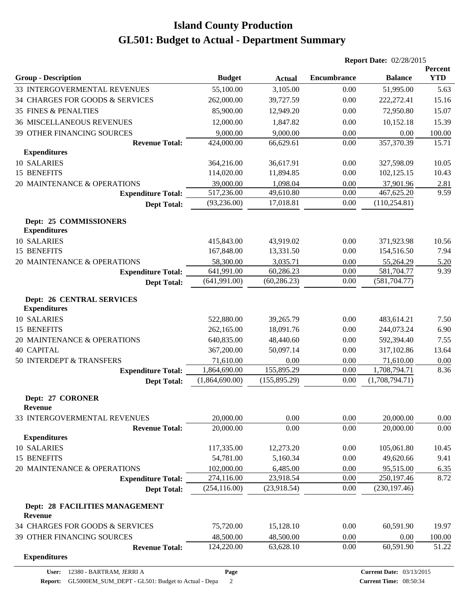|                                                         |                |               |                    | <b>Report Date: 02/28/2015</b>  |                              |  |
|---------------------------------------------------------|----------------|---------------|--------------------|---------------------------------|------------------------------|--|
| <b>Group - Description</b>                              | <b>Budget</b>  | <b>Actual</b> | <b>Encumbrance</b> | <b>Balance</b>                  | <b>Percent</b><br><b>YTD</b> |  |
| 33 INTERGOVERMENTAL REVENUES                            | 55,100.00      | 3,105.00      | 0.00               | 51,995.00                       | 5.63                         |  |
| 34 CHARGES FOR GOODS & SERVICES                         | 262,000.00     | 39,727.59     | 0.00               | 222,272.41                      | 15.16                        |  |
| <b>35 FINES &amp; PENALTIES</b>                         | 85,900.00      | 12,949.20     | 0.00               | 72,950.80                       | 15.07                        |  |
| <b>36 MISCELLANEOUS REVENUES</b>                        | 12,000.00      | 1,847.82      | 0.00               | 10,152.18                       | 15.39                        |  |
| 39 OTHER FINANCING SOURCES                              | 9,000.00       | 9,000.00      | 0.00               | 0.00                            | 100.00                       |  |
| <b>Revenue Total:</b>                                   | 424,000.00     | 66,629.61     | 0.00               | 357,370.39                      | 15.71                        |  |
| <b>Expenditures</b>                                     |                |               |                    |                                 |                              |  |
| 10 SALARIES                                             | 364,216.00     | 36,617.91     | 0.00               | 327,598.09                      | 10.05                        |  |
| 15 BENEFITS                                             | 114,020.00     | 11,894.85     | 0.00               | 102,125.15                      | 10.43                        |  |
| 20 MAINTENANCE & OPERATIONS                             | 39,000.00      | 1,098.04      | 0.00               | 37,901.96                       | 2.81                         |  |
| <b>Expenditure Total:</b>                               | 517,236.00     | 49,610.80     | 0.00               | 467,625.20                      | 9.59                         |  |
| <b>Dept Total:</b>                                      | (93, 236.00)   | 17,018.81     | 0.00               | (110, 254.81)                   |                              |  |
| Dept: 25 COMMISSIONERS<br><b>Expenditures</b>           |                |               |                    |                                 |                              |  |
| 10 SALARIES                                             | 415,843.00     | 43,919.02     | 0.00               | 371,923.98                      | 10.56                        |  |
| 15 BENEFITS                                             | 167,848.00     | 13,331.50     | 0.00               | 154,516.50                      | 7.94                         |  |
| 20 MAINTENANCE & OPERATIONS                             | 58,300.00      | 3,035.71      | 0.00               | 55,264.29                       | 5.20                         |  |
| <b>Expenditure Total:</b>                               | 641,991.00     | 60,286.23     | 0.00               | 581,704.77                      | 9.39                         |  |
| <b>Dept Total:</b>                                      | (641,991.00)   | (60, 286.23)  | 0.00               | (581, 704.77)                   |                              |  |
| <b>Dept: 26 CENTRAL SERVICES</b><br><b>Expenditures</b> |                |               |                    |                                 |                              |  |
| 10 SALARIES                                             | 522,880.00     | 39,265.79     | 0.00               | 483,614.21                      | 7.50                         |  |
| 15 BENEFITS                                             | 262,165.00     | 18,091.76     | 0.00               | 244,073.24                      | 6.90                         |  |
| 20 MAINTENANCE & OPERATIONS                             | 640,835.00     | 48,440.60     | 0.00               | 592,394.40                      | 7.55                         |  |
| <b>40 CAPITAL</b>                                       | 367,200.00     | 50,097.14     | 0.00               | 317,102.86                      | 13.64                        |  |
| 50 INTERDEPT & TRANSFERS                                | 71,610.00      | 0.00          | 0.00               | 71,610.00                       | 0.00                         |  |
| <b>Expenditure Total:</b>                               | 1,864,690.00   | 155,895.29    | 0.00               | 1,708,794.71                    | 8.36                         |  |
| <b>Dept Total:</b>                                      | (1,864,690.00) | (155, 895.29) | 0.00               | (1,708,794.71)                  |                              |  |
| Dept: 27 CORONER<br><b>Revenue</b>                      |                |               |                    |                                 |                              |  |
| 33 INTERGOVERMENTAL REVENUES                            | 20,000.00      | 0.00          | 0.00               | 20,000.00                       | 0.00                         |  |
| <b>Revenue Total:</b><br><b>Expenditures</b>            | 20,000.00      | 0.00          | 0.00               | 20,000.00                       | 0.00                         |  |
| <b>10 SALARIES</b>                                      | 117,335.00     | 12,273.20     | 0.00               | 105,061.80                      | 10.45                        |  |
| 15 BENEFITS                                             | 54,781.00      | 5,160.34      | 0.00               | 49,620.66                       | 9.41                         |  |
| 20 MAINTENANCE & OPERATIONS                             | 102,000.00     | 6,485.00      | 0.00               | 95,515.00                       | 6.35                         |  |
| <b>Expenditure Total:</b>                               | 274,116.00     | 23,918.54     | 0.00               | 250,197.46                      | 8.72                         |  |
| <b>Dept Total:</b>                                      | (254, 116.00)  | (23,918.54)   | 0.00               | (230, 197.46)                   |                              |  |
| Dept: 28 FACILITIES MANAGEMENT<br><b>Revenue</b>        |                |               |                    |                                 |                              |  |
| 34 CHARGES FOR GOODS & SERVICES                         | 75,720.00      | 15,128.10     | 0.00               | 60,591.90                       | 19.97                        |  |
| 39 OTHER FINANCING SOURCES                              | 48,500.00      | 48,500.00     | 0.00               | 0.00                            | 100.00                       |  |
| <b>Revenue Total:</b>                                   | 124,220.00     | 63,628.10     | 0.00               | 60,591.90                       | 51.22                        |  |
| <b>Expenditures</b>                                     |                |               |                    |                                 |                              |  |
| 12380 - BARTRAM, JERRI A<br>User:                       | Page           |               |                    | <b>Current Date: 03/13/2015</b> |                              |  |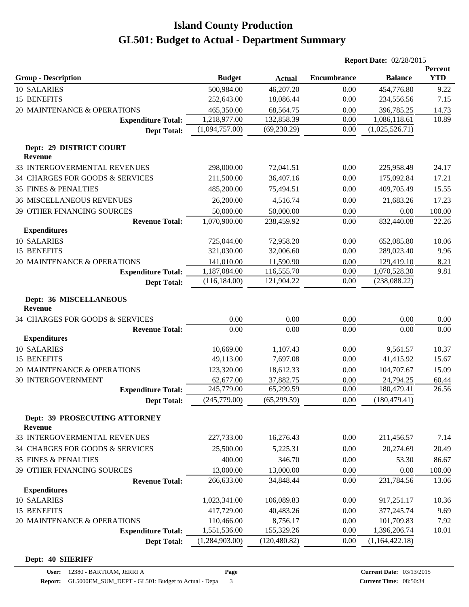|                                                 |                            |                         |                    | <b>Report Date: 02/28/2015</b> |                |
|-------------------------------------------------|----------------------------|-------------------------|--------------------|--------------------------------|----------------|
|                                                 |                            |                         |                    |                                | Percent        |
| <b>Group - Description</b>                      | <b>Budget</b>              | <b>Actual</b>           | <b>Encumbrance</b> | <b>Balance</b>                 | <b>YTD</b>     |
| 10 SALARIES                                     | 500,984.00                 | 46,207.20               | 0.00               | 454,776.80                     | 9.22           |
| 15 BENEFITS                                     | 252,643.00                 | 18,086.44               | 0.00               | 234,556.56                     | 7.15           |
| 20 MAINTENANCE & OPERATIONS                     | 465,350.00<br>1,218,977.00 | 68,564.75<br>132,858.39 | 0.00<br>0.00       | 396,785.25<br>1,086,118.61     | 14.73<br>10.89 |
| <b>Expenditure Total:</b>                       | (1,094,757.00)             | (69, 230.29)            | 0.00               | (1,025,526.71)                 |                |
| <b>Dept Total:</b>                              |                            |                         |                    |                                |                |
| Dept: 29 DISTRICT COURT<br><b>Revenue</b>       |                            |                         |                    |                                |                |
| 33 INTERGOVERMENTAL REVENUES                    | 298,000.00                 | 72,041.51               | 0.00               | 225,958.49                     | 24.17          |
| 34 CHARGES FOR GOODS & SERVICES                 | 211,500.00                 | 36,407.16               | 0.00               | 175,092.84                     | 17.21          |
| <b>35 FINES &amp; PENALTIES</b>                 | 485,200.00                 | 75,494.51               | 0.00               | 409,705.49                     | 15.55          |
| <b>36 MISCELLANEOUS REVENUES</b>                | 26,200.00                  | 4,516.74                | 0.00               | 21,683.26                      | 17.23          |
| 39 OTHER FINANCING SOURCES                      | 50,000.00                  | 50,000.00               | 0.00               | 0.00                           | 100.00         |
| <b>Revenue Total:</b>                           | 1,070,900.00               | 238,459.92              | 0.00               | 832,440.08                     | 22.26          |
| <b>Expenditures</b>                             |                            |                         |                    |                                |                |
| 10 SALARIES                                     | 725,044.00                 | 72,958.20               | 0.00               | 652,085.80                     | 10.06          |
| 15 BENEFITS                                     | 321,030.00                 | 32,006.60               | 0.00               | 289,023.40                     | 9.96           |
| 20 MAINTENANCE & OPERATIONS                     | 141,010.00                 | 11,590.90               | 0.00               | 129,419.10                     | 8.21           |
| <b>Expenditure Total:</b>                       | 1,187,084.00               | 116,555.70              | 0.00               | 1,070,528.30                   | 9.81           |
| <b>Dept Total:</b>                              | (116, 184.00)              | 121,904.22              | 0.00               | (238, 088.22)                  |                |
| Dept: 36 MISCELLANEOUS<br><b>Revenue</b>        |                            |                         |                    |                                |                |
| 34 CHARGES FOR GOODS & SERVICES                 | 0.00                       | 0.00                    | 0.00               | 0.00                           | 0.00           |
| <b>Revenue Total:</b>                           | 0.00                       | 0.00                    | 0.00               | 0.00                           | 0.00           |
| <b>Expenditures</b>                             |                            |                         |                    |                                |                |
| 10 SALARIES                                     | 10,669.00                  | 1,107.43                | 0.00               | 9,561.57                       | 10.37          |
| 15 BENEFITS                                     | 49,113.00                  | 7,697.08                | 0.00               | 41,415.92                      | 15.67          |
| 20 MAINTENANCE & OPERATIONS                     | 123,320.00                 | 18,612.33               | 0.00               | 104,707.67                     | 15.09          |
| 30 INTERGOVERNMENT                              | 62,677.00                  | 37,882.75               | 0.00               | 24,794.25                      | 60.44          |
| <b>Expenditure Total:</b>                       | 245,779.00                 | 65,299.59               | 0.00               | 180,479.41                     | 26.56          |
| <b>Dept Total:</b>                              | (245,779.00)               | (65, 299.59)            | 0.00               | (180, 479.41)                  |                |
| Dept: 39 PROSECUTING ATTORNEY<br><b>Revenue</b> |                            |                         |                    |                                |                |
| 33 INTERGOVERMENTAL REVENUES                    | 227,733.00                 | 16,276.43               | 0.00               | 211,456.57                     | 7.14           |
| 34 CHARGES FOR GOODS & SERVICES                 | 25,500.00                  | 5,225.31                | 0.00               | 20,274.69                      | 20.49          |
| <b>35 FINES &amp; PENALTIES</b>                 | 400.00                     | 346.70                  | 0.00               | 53.30                          | 86.67          |
| 39 OTHER FINANCING SOURCES                      | 13,000.00                  | 13,000.00               | 0.00               | 0.00                           | 100.00         |
| <b>Revenue Total:</b>                           | 266,633.00                 | 34,848.44               | 0.00               | 231,784.56                     | 13.06          |
| <b>Expenditures</b>                             |                            |                         |                    |                                |                |
| 10 SALARIES                                     | 1,023,341.00               | 106,089.83              | 0.00               | 917,251.17                     | 10.36          |
| 15 BENEFITS                                     | 417,729.00                 | 40,483.26               | 0.00               | 377, 245.74                    | 9.69           |
| 20 MAINTENANCE & OPERATIONS                     | 110,466.00                 | 8,756.17                | 0.00               | 101,709.83                     | 7.92           |
| <b>Expenditure Total:</b>                       | 1,551,536.00               | 155,329.26              | 0.00               | 1,396,206.74                   | 10.01          |
| <b>Dept Total:</b>                              | (1,284,903.00)             | (120, 480.82)           | 0.00               | (1,164,422.18)                 |                |

#### **Dept: 40 SHERIFF**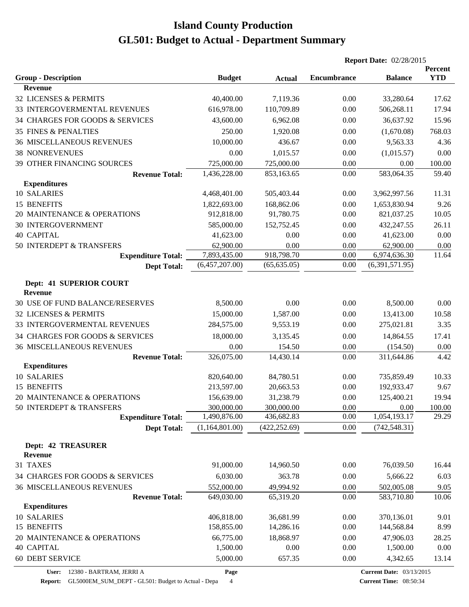|                                              |                |               | <b>Report Date: 02/28/2015</b> |                |            |
|----------------------------------------------|----------------|---------------|--------------------------------|----------------|------------|
|                                              |                |               |                                |                | Percent    |
| <b>Group - Description</b>                   | <b>Budget</b>  | <b>Actual</b> | <b>Encumbrance</b>             | <b>Balance</b> | <b>YTD</b> |
| <b>Revenue</b>                               |                |               |                                |                |            |
| 32 LICENSES & PERMITS                        | 40,400.00      | 7,119.36      | 0.00                           | 33,280.64      | 17.62      |
| 33 INTERGOVERMENTAL REVENUES                 | 616,978.00     | 110,709.89    | 0.00                           | 506,268.11     | 17.94      |
| 34 CHARGES FOR GOODS & SERVICES              | 43,600.00      | 6,962.08      | 0.00                           | 36,637.92      | 15.96      |
| <b>35 FINES &amp; PENALTIES</b>              | 250.00         | 1,920.08      | 0.00                           | (1,670.08)     | 768.03     |
| <b>36 MISCELLANEOUS REVENUES</b>             | 10,000.00      | 436.67        | 0.00                           | 9,563.33       | 4.36       |
| <b>38 NONREVENUES</b>                        | 0.00           | 1,015.57      | 0.00                           | (1,015.57)     | 0.00       |
| 39 OTHER FINANCING SOURCES                   | 725,000.00     | 725,000.00    | 0.00                           | 0.00           | 100.00     |
| <b>Revenue Total:</b>                        | 1,436,228.00   | 853,163.65    | 0.00                           | 583,064.35     | 59.40      |
| <b>Expenditures</b>                          |                |               |                                |                |            |
| 10 SALARIES                                  | 4,468,401.00   | 505,403.44    | 0.00                           | 3,962,997.56   | 11.31      |
| 15 BENEFITS                                  | 1,822,693.00   | 168,862.06    | 0.00                           | 1,653,830.94   | 9.26       |
| 20 MAINTENANCE & OPERATIONS                  | 912,818.00     | 91,780.75     | 0.00                           | 821,037.25     | 10.05      |
| <b>30 INTERGOVERNMENT</b>                    | 585,000.00     | 152,752.45    | 0.00                           | 432,247.55     | 26.11      |
| <b>40 CAPITAL</b>                            | 41,623.00      | 0.00          | 0.00                           | 41,623.00      | 0.00       |
| 50 INTERDEPT & TRANSFERS                     | 62,900.00      | 0.00          | 0.00                           | 62,900.00      | 0.00       |
| <b>Expenditure Total:</b>                    | 7,893,435.00   | 918,798.70    | 0.00                           | 6,974,636.30   | 11.64      |
| <b>Dept Total:</b>                           | (6,457,207.00) | (65, 635.05)  | 0.00                           | (6,391,571.95) |            |
|                                              |                |               |                                |                |            |
| Dept: 41 SUPERIOR COURT<br><b>Revenue</b>    |                |               |                                |                |            |
| 30 USE OF FUND BALANCE/RESERVES              | 8,500.00       | 0.00          | 0.00                           | 8,500.00       | 0.00       |
| 32 LICENSES & PERMITS                        | 15,000.00      | 1,587.00      | 0.00                           | 13,413.00      | 10.58      |
| 33 INTERGOVERMENTAL REVENUES                 | 284,575.00     | 9,553.19      | 0.00                           | 275,021.81     | 3.35       |
| 34 CHARGES FOR GOODS & SERVICES              | 18,000.00      | 3,135.45      | 0.00                           | 14,864.55      | 17.41      |
| <b>36 MISCELLANEOUS REVENUES</b>             | 0.00           | 154.50        | 0.00                           | (154.50)       | 0.00       |
| <b>Revenue Total:</b>                        | 326,075.00     | 14,430.14     | 0.00                           | 311,644.86     | 4.42       |
| <b>Expenditures</b>                          |                |               |                                |                |            |
| 10 SALARIES                                  | 820,640.00     | 84,780.51     | 0.00                           | 735,859.49     | 10.33      |
| 15 BENEFITS                                  | 213,597.00     | 20,663.53     | 0.00                           | 192,933.47     | 9.67       |
| 20 MAINTENANCE & OPERATIONS                  | 156,639.00     | 31,238.79     | 0.00                           | 125,400.21     | 19.94      |
| 50 INTERDEPT & TRANSFERS                     | 300,000.00     | 300,000.00    | 0.00                           | 0.00           | 100.00     |
| <b>Expenditure Total:</b>                    | 1,490,876.00   | 436,682.83    | 0.00                           | 1,054,193.17   | 29.29      |
| <b>Dept Total:</b>                           | (1,164,801.00) | (422, 252.69) | 0.00                           | (742, 548.31)  |            |
|                                              |                |               |                                |                |            |
| <b>Dept: 42 TREASURER</b><br>Revenue         |                |               |                                |                |            |
| 31 TAXES                                     |                |               | 0.00                           | 76,039.50      |            |
|                                              | 91,000.00      | 14,960.50     |                                |                | 16.44      |
| 34 CHARGES FOR GOODS & SERVICES              | 6,030.00       | 363.78        | 0.00                           | 5,666.22       | 6.03       |
| 36 MISCELLANEOUS REVENUES                    | 552,000.00     | 49,994.92     | 0.00                           | 502,005.08     | 9.05       |
| <b>Revenue Total:</b><br><b>Expenditures</b> | 649,030.00     | 65,319.20     | 0.00                           | 583,710.80     | 10.06      |
| 10 SALARIES                                  | 406,818.00     | 36,681.99     | 0.00                           | 370,136.01     | 9.01       |
| 15 BENEFITS                                  | 158,855.00     | 14,286.16     | 0.00                           | 144,568.84     | 8.99       |
| 20 MAINTENANCE & OPERATIONS                  | 66,775.00      | 18,868.97     | 0.00                           | 47,906.03      | 28.25      |
| <b>40 CAPITAL</b>                            | 1,500.00       | 0.00          | 0.00                           | 1,500.00       | 0.00       |
| <b>60 DEBT SERVICE</b>                       | 5,000.00       | 657.35        | 0.00                           | 4,342.65       | 13.14      |
|                                              |                |               |                                |                |            |

**Page**

**Report:** GL5000EM\_SUM\_DEPT - GL501: Budget to Actual - Depa 4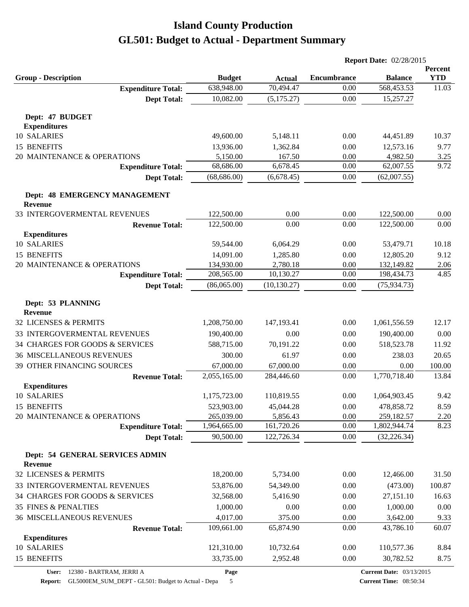|                                                   |                         |               | <b>Report Date: 02/28/2015</b> |                |               |
|---------------------------------------------------|-------------------------|---------------|--------------------------------|----------------|---------------|
|                                                   |                         |               |                                |                | Percent       |
| <b>Group - Description</b>                        | <b>Budget</b>           | <b>Actual</b> | <b>Encumbrance</b>             | <b>Balance</b> | <b>YTD</b>    |
| <b>Expenditure Total:</b>                         | 638,948.00<br>10,082.00 | 70,494.47     | 0.00<br>0.00                   | 568,453.53     | 11.03         |
| <b>Dept Total:</b>                                |                         | (5, 175.27)   |                                | 15,257.27      |               |
| Dept: 47 BUDGET                                   |                         |               |                                |                |               |
| <b>Expenditures</b>                               |                         |               |                                |                |               |
| 10 SALARIES                                       | 49,600.00               | 5,148.11      | 0.00                           | 44,451.89      | 10.37         |
| 15 BENEFITS                                       | 13,936.00               | 1,362.84      | 0.00                           | 12,573.16      | 9.77          |
| 20 MAINTENANCE & OPERATIONS                       | 5,150.00                | 167.50        | 0.00                           | 4,982.50       | 3.25          |
| <b>Expenditure Total:</b>                         | 68,686.00               | 6,678.45      | 0.00                           | 62,007.55      | 9.72          |
| <b>Dept Total:</b>                                | (68, 686.00)            | (6,678.45)    | 0.00                           | (62,007.55)    |               |
| Dept: 48 EMERGENCY MANAGEMENT<br><b>Revenue</b>   |                         |               |                                |                |               |
| 33 INTERGOVERMENTAL REVENUES                      | 122,500.00              | 0.00          | 0.00                           | 122,500.00     | 0.00          |
| <b>Revenue Total:</b>                             | 122,500.00              | 0.00          | 0.00                           | 122,500.00     | 0.00          |
| <b>Expenditures</b>                               |                         |               |                                |                |               |
| 10 SALARIES                                       | 59,544.00               | 6,064.29      | 0.00                           | 53,479.71      | 10.18         |
| 15 BENEFITS                                       | 14,091.00               | 1,285.80      | 0.00                           | 12,805.20      | 9.12          |
| 20 MAINTENANCE & OPERATIONS                       | 134,930.00              | 2,780.18      | 0.00                           | 132,149.82     | 2.06          |
| <b>Expenditure Total:</b>                         | 208,565.00              | 10,130.27     | 0.00                           | 198,434.73     | 4.85          |
| <b>Dept Total:</b>                                | (86,065.00)             | (10, 130.27)  | 0.00                           | (75, 934.73)   |               |
|                                                   |                         |               |                                |                |               |
| Dept: 53 PLANNING<br><b>Revenue</b>               |                         |               |                                |                |               |
| 32 LICENSES & PERMITS                             | 1,208,750.00            | 147,193.41    | 0.00                           | 1,061,556.59   | 12.17         |
| 33 INTERGOVERMENTAL REVENUES                      | 190,400.00              | 0.00          | 0.00                           | 190,400.00     | 0.00          |
| 34 CHARGES FOR GOODS & SERVICES                   | 588,715.00              | 70,191.22     | 0.00                           | 518,523.78     | 11.92         |
| <b>36 MISCELLANEOUS REVENUES</b>                  | 300.00                  | 61.97         | 0.00                           | 238.03         | 20.65         |
| 39 OTHER FINANCING SOURCES                        | 67,000.00               | 67,000.00     | 0.00                           | 0.00           | 100.00        |
| <b>Revenue Total:</b>                             | 2,055,165.00            | 284,446.60    | 0.00                           | 1,770,718.40   | 13.84         |
| <b>Expenditures</b>                               |                         |               |                                |                |               |
| 10 SALARIES                                       | 1,175,723.00            | 110,819.55    | 0.00                           | 1,064,903.45   | 9.42          |
| 15 BENEFITS                                       | 523,903.00              | 45,044.28     | 0.00                           | 478,858.72     | 8.59          |
| 20 MAINTENANCE & OPERATIONS                       | 265,039.00              | 5,856.43      | 0.00                           | 259,182.57     | 2.20          |
| <b>Expenditure Total:</b>                         | 1,964,665.00            | 161,720.26    | 0.00                           | 1,802,944.74   | 8.23          |
| <b>Dept Total:</b>                                | 90,500.00               | 122,726.34    | 0.00                           | (32, 226.34)   |               |
| Dept: 54 GENERAL SERVICES ADMIN<br><b>Revenue</b> |                         |               |                                |                |               |
| 32 LICENSES & PERMITS                             | 18,200.00               | 5,734.00      | 0.00                           | 12,466.00      | 31.50         |
| 33 INTERGOVERMENTAL REVENUES                      | 53,876.00               | 54,349.00     | 0.00                           | (473.00)       | 100.87        |
| 34 CHARGES FOR GOODS & SERVICES                   | 32,568.00               | 5,416.90      | 0.00                           | 27,151.10      | 16.63         |
| 35 FINES & PENALTIES                              | 1,000.00                | 0.00          | 0.00                           | 1,000.00       | 0.00          |
| <b>36 MISCELLANEOUS REVENUES</b>                  | 4,017.00                | 375.00        | 0.00                           | 3,642.00       |               |
| <b>Revenue Total:</b>                             | 109,661.00              | 65,874.90     | 0.00                           | 43,786.10      | 9.33<br>60.07 |
| <b>Expenditures</b>                               |                         |               |                                |                |               |
| 10 SALARIES                                       | 121,310.00              | 10,732.64     | 0.00                           | 110,577.36     | 8.84          |
| 15 BENEFITS                                       | 33,735.00               | 2,952.48      | 0.00                           | 30,782.52      | 8.75          |
|                                                   |                         |               |                                |                |               |

**Report:** GL5000EM\_SUM\_DEPT - GL501: Budget to Actual - Depa 5

**Page**